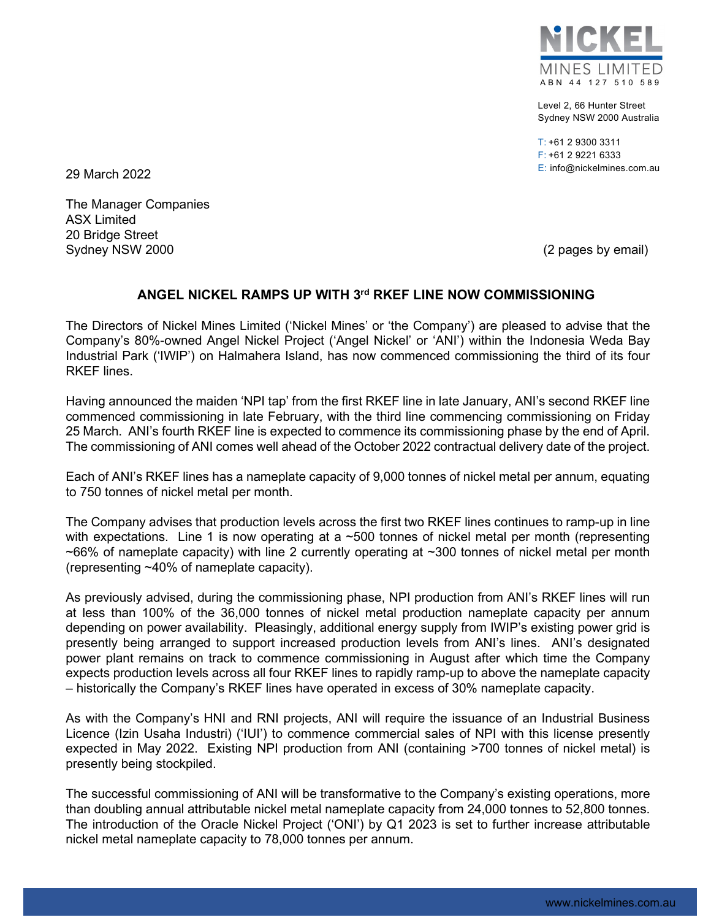

Level 2, 66 Hunter Street Sydney NSW 2000 Australia

T: +61 2 9300 3311 F: +61 2 9221 6333 E: info@nickelmines.com.au

29 March 2022

The Manager Companies ASX Limited 20 Bridge Street Sydney NSW 2000 (2 pages by email)

## **ANGEL NICKEL RAMPS UP WITH 3rd RKEF LINE NOW COMMISSIONING**

The Directors of Nickel Mines Limited ('Nickel Mines' or 'the Company') are pleased to advise that the Company's 80%-owned Angel Nickel Project ('Angel Nickel' or 'ANI') within the Indonesia Weda Bay Industrial Park ('IWIP') on Halmahera Island, has now commenced commissioning the third of its four RKEF lines.

Having announced the maiden 'NPI tap' from the first RKEF line in late January, ANI's second RKEF line commenced commissioning in late February, with the third line commencing commissioning on Friday 25 March. ANI's fourth RKEF line is expected to commence its commissioning phase by the end of April. The commissioning of ANI comes well ahead of the October 2022 contractual delivery date of the project.

Each of ANI's RKEF lines has a nameplate capacity of 9,000 tonnes of nickel metal per annum, equating to 750 tonnes of nickel metal per month.

The Company advises that production levels across the first two RKEF lines continues to ramp-up in line with expectations. Line 1 is now operating at a  $\sim$ 500 tonnes of nickel metal per month (representing  $\sim$ 66% of nameplate capacity) with line 2 currently operating at  $\sim$ 300 tonnes of nickel metal per month (representing ~40% of nameplate capacity).

As previously advised, during the commissioning phase, NPI production from ANI's RKEF lines will run at less than 100% of the 36,000 tonnes of nickel metal production nameplate capacity per annum depending on power availability. Pleasingly, additional energy supply from IWIP's existing power grid is presently being arranged to support increased production levels from ANI's lines. ANI's designated power plant remains on track to commence commissioning in August after which time the Company expects production levels across all four RKEF lines to rapidly ramp-up to above the nameplate capacity – historically the Company's RKEF lines have operated in excess of 30% nameplate capacity.

As with the Company's HNI and RNI projects, ANI will require the issuance of an Industrial Business Licence (Izin Usaha Industri) ('IUI') to commence commercial sales of NPI with this license presently expected in May 2022. Existing NPI production from ANI (containing >700 tonnes of nickel metal) is presently being stockpiled.

The successful commissioning of ANI will be transformative to the Company's existing operations, more than doubling annual attributable nickel metal nameplate capacity from 24,000 tonnes to 52,800 tonnes. The introduction of the Oracle Nickel Project ('ONI') by Q1 2023 is set to further increase attributable nickel metal nameplate capacity to 78,000 tonnes per annum.